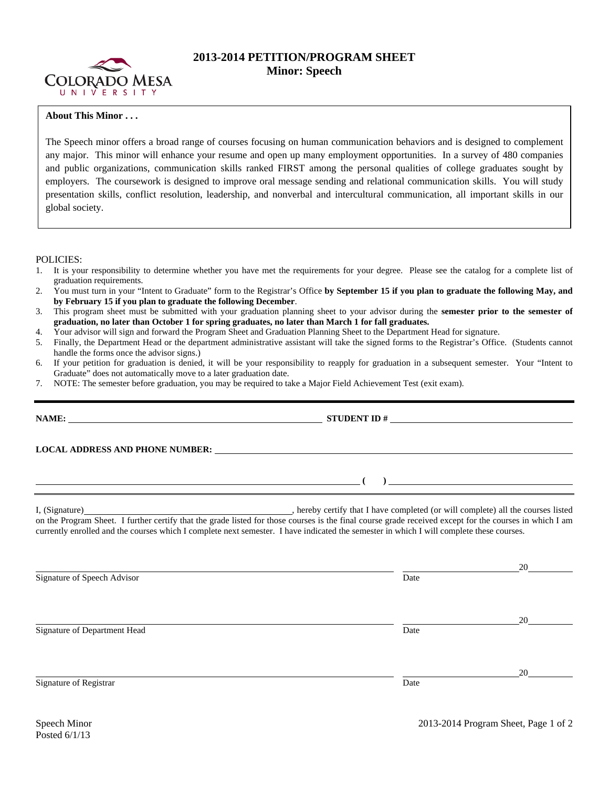

## **2013-2014 PETITION/PROGRAM SHEET Minor: Speech**

## **About This Minor . . .**

The Speech minor offers a broad range of courses focusing on human communication behaviors and is designed to complement any major. This minor will enhance your resume and open up many employment opportunities. In a survey of 480 companies and public organizations, communication skills ranked FIRST among the personal qualities of college graduates sought by employers. The coursework is designed to improve oral message sending and relational communication skills. You will study presentation skills, conflict resolution, leadership, and nonverbal and intercultural communication, all important skills in our global society.

POLICIES:

- 1. It is your responsibility to determine whether you have met the requirements for your degree. Please see the catalog for a complete list of graduation requirements.
- 2. You must turn in your "Intent to Graduate" form to the Registrar's Office **by September 15 if you plan to graduate the following May, and by February 15 if you plan to graduate the following December**.
- 3. This program sheet must be submitted with your graduation planning sheet to your advisor during the **semester prior to the semester of graduation, no later than October 1 for spring graduates, no later than March 1 for fall graduates.**
- 4. Your advisor will sign and forward the Program Sheet and Graduation Planning Sheet to the Department Head for signature.
- 5. Finally, the Department Head or the department administrative assistant will take the signed forms to the Registrar's Office. (Students cannot handle the forms once the advisor signs.)
- 6. If your petition for graduation is denied, it will be your responsibility to reapply for graduation in a subsequent semester. Your "Intent to Graduate" does not automatically move to a later graduation date.
- 7. NOTE: The semester before graduation, you may be required to take a Major Field Achievement Test (exit exam).

|                                                                                                                                                                                                                                                                                                     | STUDENT ID $\#$ |              |  |  |  |  |  |
|-----------------------------------------------------------------------------------------------------------------------------------------------------------------------------------------------------------------------------------------------------------------------------------------------------|-----------------|--------------|--|--|--|--|--|
|                                                                                                                                                                                                                                                                                                     |                 |              |  |  |  |  |  |
| $\overline{a}$ (b) and the contract of $\overline{a}$ (c) and $\overline{a}$ (c) and $\overline{a}$ (c) and $\overline{a}$ (c) and $\overline{a}$ (c) and $\overline{a}$ (c) and $\overline{a}$ (c) and $\overline{a}$ (c) and $\overline{a}$ (c) and $\overline{a}$ (c) and $\overline{a}$ (c) and |                 |              |  |  |  |  |  |
| currently enrolled and the courses which I complete next semester. I have indicated the semester in which I will complete these courses.                                                                                                                                                            |                 |              |  |  |  |  |  |
| Signature of Speech Advisor                                                                                                                                                                                                                                                                         | Date            | 20           |  |  |  |  |  |
| Signature of Department Head                                                                                                                                                                                                                                                                        | Date            | 20           |  |  |  |  |  |
| Signature of Registrar                                                                                                                                                                                                                                                                              | Date            | $20^{\circ}$ |  |  |  |  |  |